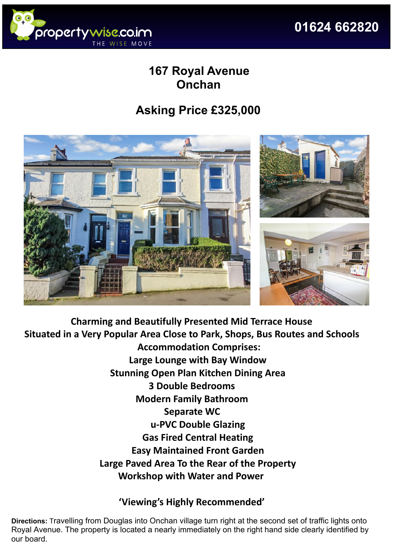

## **167 Royal Avenue Onchan**

## **Asking Price £325,000**



**Charming and Beautifully Presented Mid Terrace House Situated in a Very Popular Area Close to Park, Shops, Bus Routes and Schools Accommodation Comprises: Large Lounge with Bay Window Stunning Open Plan Kitchen Dining Area 3 Double Bedrooms Modern Family Bathroom Separate WC u-PVC Double Glazing Gas Fired Central Heating Easy Maintained Front Garden Large Paved Area To the Rear of the Property Workshop with Water and Power**

## **'Viewing's Highly Recommended'**

**Directions:** Travelling from Douglas into Onchan village turn right at the second set of traffic lights onto Royal Avenue. The property is located a nearly immediately on the right hand side clearly identified by our board.